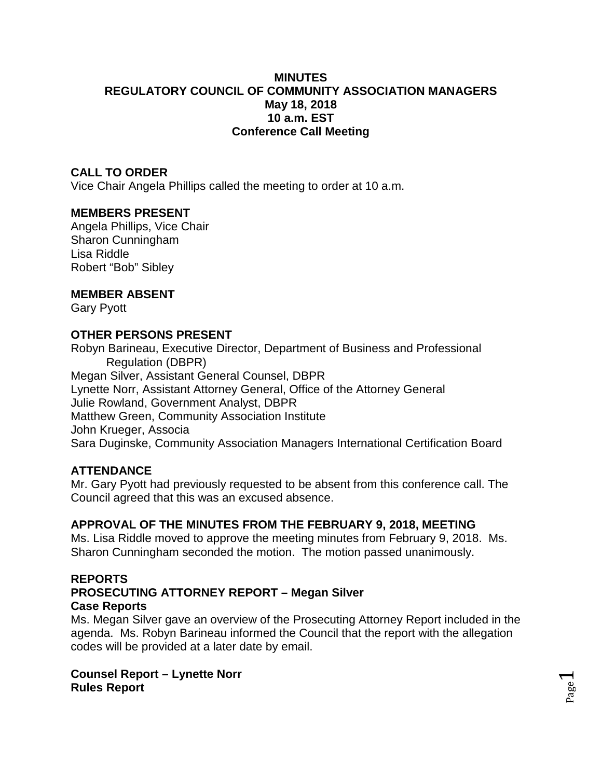### **MINUTES REGULATORY COUNCIL OF COMMUNITY ASSOCIATION MANAGERS May 18, 2018 10 a.m. EST Conference Call Meeting**

### **CALL TO ORDER**

Vice Chair Angela Phillips called the meeting to order at 10 a.m.

#### **MEMBERS PRESENT**

Angela Phillips, Vice Chair Sharon Cunningham Lisa Riddle Robert "Bob" Sibley

#### **MEMBER ABSENT**

Gary Pyott

#### **OTHER PERSONS PRESENT**

Robyn Barineau, Executive Director, Department of Business and Professional Regulation (DBPR) Megan Silver, Assistant General Counsel, DBPR Lynette Norr, Assistant Attorney General, Office of the Attorney General Julie Rowland, Government Analyst, DBPR Matthew Green, Community Association Institute John Krueger, Associa Sara Duginske, Community Association Managers International Certification Board

### **ATTENDANCE**

Mr. Gary Pyott had previously requested to be absent from this conference call. The Council agreed that this was an excused absence.

### **APPROVAL OF THE MINUTES FROM THE FEBRUARY 9, 2018, MEETING**

Ms. Lisa Riddle moved to approve the meeting minutes from February 9, 2018. Ms. Sharon Cunningham seconded the motion. The motion passed unanimously.

#### **REPORTS PROSECUTING ATTORNEY REPORT – Megan Silver Case Reports**

Ms. Megan Silver gave an overview of the Prosecuting Attorney Report included in the agenda. Ms. Robyn Barineau informed the Council that the report with the allegation codes will be provided at a later date by email.

> Page  $\overline{\phantom{0}}$

**Counsel Report – Lynette Norr Rules Report**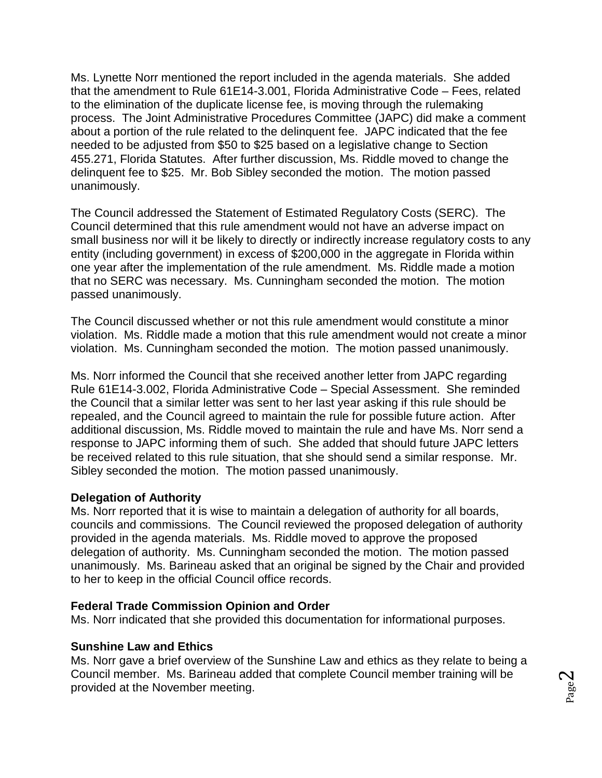Ms. Lynette Norr mentioned the report included in the agenda materials. She added that the amendment to Rule 61E14-3.001, Florida Administrative Code – Fees, related to the elimination of the duplicate license fee, is moving through the rulemaking process. The Joint Administrative Procedures Committee (JAPC) did make a comment about a portion of the rule related to the delinquent fee. JAPC indicated that the fee needed to be adjusted from \$50 to \$25 based on a legislative change to Section 455.271, Florida Statutes. After further discussion, Ms. Riddle moved to change the delinquent fee to \$25. Mr. Bob Sibley seconded the motion. The motion passed unanimously.

The Council addressed the Statement of Estimated Regulatory Costs (SERC). The Council determined that this rule amendment would not have an adverse impact on small business nor will it be likely to directly or indirectly increase regulatory costs to any entity (including government) in excess of \$200,000 in the aggregate in Florida within one year after the implementation of the rule amendment. Ms. Riddle made a motion that no SERC was necessary. Ms. Cunningham seconded the motion. The motion passed unanimously.

The Council discussed whether or not this rule amendment would constitute a minor violation. Ms. Riddle made a motion that this rule amendment would not create a minor violation. Ms. Cunningham seconded the motion. The motion passed unanimously.

Ms. Norr informed the Council that she received another letter from JAPC regarding Rule 61E14-3.002, Florida Administrative Code – Special Assessment. She reminded the Council that a similar letter was sent to her last year asking if this rule should be repealed, and the Council agreed to maintain the rule for possible future action. After additional discussion, Ms. Riddle moved to maintain the rule and have Ms. Norr send a response to JAPC informing them of such. She added that should future JAPC letters be received related to this rule situation, that she should send a similar response. Mr. Sibley seconded the motion. The motion passed unanimously.

### **Delegation of Authority**

Ms. Norr reported that it is wise to maintain a delegation of authority for all boards, councils and commissions. The Council reviewed the proposed delegation of authority provided in the agenda materials. Ms. Riddle moved to approve the proposed delegation of authority. Ms. Cunningham seconded the motion. The motion passed unanimously. Ms. Barineau asked that an original be signed by the Chair and provided to her to keep in the official Council office records.

### **Federal Trade Commission Opinion and Order**

Ms. Norr indicated that she provided this documentation for informational purposes.

### **Sunshine Law and Ethics**

Ms. Norr gave a brief overview of the Sunshine Law and ethics as they relate to being a Council member. Ms. Barineau added that complete Council member training will be provided at the November meeting.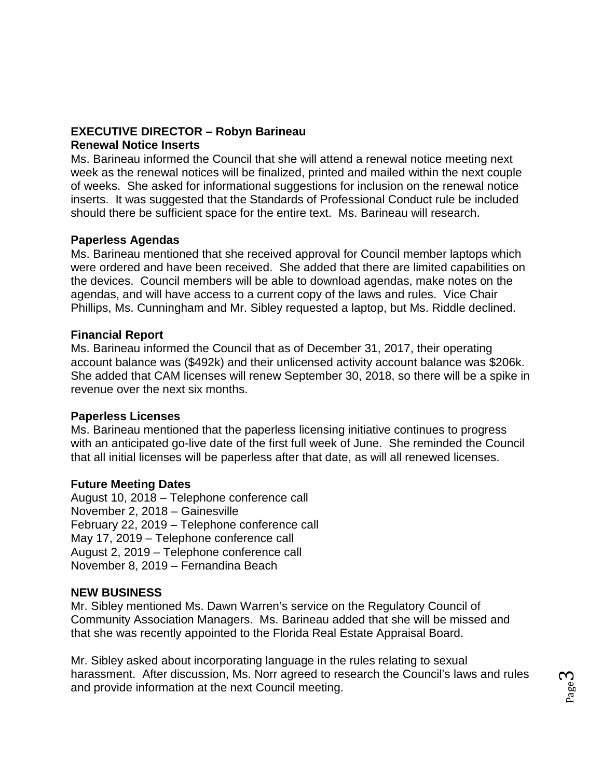# **EXECUTIVE DIRECTOR – Robyn Barineau**

### **Renewal Notice Inserts**

Ms. Barineau informed the Council that she will attend a renewal notice meeting next week as the renewal notices will be finalized, printed and mailed within the next couple of weeks. She asked for informational suggestions for inclusion on the renewal notice inserts. It was suggested that the Standards of Professional Conduct rule be included should there be sufficient space for the entire text. Ms. Barineau will research.

## **Paperless Agendas**

Ms. Barineau mentioned that she received approval for Council member laptops which were ordered and have been received. She added that there are limited capabilities on the devices. Council members will be able to download agendas, make notes on the agendas, and will have access to a current copy of the laws and rules. Vice Chair Phillips, Ms. Cunningham and Mr. Sibley requested a laptop, but Ms. Riddle declined.

## **Financial Report**

Ms. Barineau informed the Council that as of December 31, 2017, their operating account balance was (\$492k) and their unlicensed activity account balance was \$206k. She added that CAM licenses will renew September 30, 2018, so there will be a spike in revenue over the next six months.

## **Paperless Licenses**

Ms. Barineau mentioned that the paperless licensing initiative continues to progress with an anticipated go-live date of the first full week of June. She reminded the Council that all initial licenses will be paperless after that date, as will all renewed licenses.

## **Future Meeting Dates**

August 10, 2018 – Telephone conference call November 2, 2018 – Gainesville February 22, 2019 – Telephone conference call May 17, 2019 – Telephone conference call August 2, 2019 – Telephone conference call November 8, 2019 – Fernandina Beach

## **NEW BUSINESS**

Mr. Sibley mentioned Ms. Dawn Warren's service on the Regulatory Council of Community Association Managers. Ms. Barineau added that she will be missed and that she was recently appointed to the Florida Real Estate Appraisal Board.

Mr. Sibley asked about incorporating language in the rules relating to sexual harassment. After discussion, Ms. Norr agreed to research the Council's laws and rules and provide information at the next Council meeting.